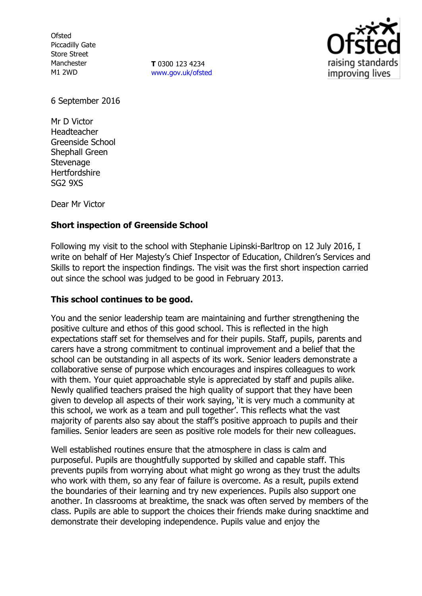**Ofsted** Piccadilly Gate Store Street Manchester M1 2WD

**T** 0300 123 4234 [www.gov.uk/ofsted](http://www.gov.uk/ofsted)



6 September 2016

Mr D Victor Headteacher Greenside School Shephall Green **Stevenage Hertfordshire** SG2 9XS

Dear Mr Victor

## **Short inspection of Greenside School**

Following my visit to the school with Stephanie Lipinski-Barltrop on 12 July 2016, I write on behalf of Her Majesty's Chief Inspector of Education, Children's Services and Skills to report the inspection findings. The visit was the first short inspection carried out since the school was judged to be good in February 2013.

### **This school continues to be good.**

You and the senior leadership team are maintaining and further strengthening the positive culture and ethos of this good school. This is reflected in the high expectations staff set for themselves and for their pupils. Staff, pupils, parents and carers have a strong commitment to continual improvement and a belief that the school can be outstanding in all aspects of its work. Senior leaders demonstrate a collaborative sense of purpose which encourages and inspires colleagues to work with them. Your quiet approachable style is appreciated by staff and pupils alike. Newly qualified teachers praised the high quality of support that they have been given to develop all aspects of their work saying, 'it is very much a community at this school, we work as a team and pull together'. This reflects what the vast majority of parents also say about the staff's positive approach to pupils and their families. Senior leaders are seen as positive role models for their new colleagues.

Well established routines ensure that the atmosphere in class is calm and purposeful. Pupils are thoughtfully supported by skilled and capable staff. This prevents pupils from worrying about what might go wrong as they trust the adults who work with them, so any fear of failure is overcome. As a result, pupils extend the boundaries of their learning and try new experiences. Pupils also support one another. In classrooms at breaktime, the snack was often served by members of the class. Pupils are able to support the choices their friends make during snacktime and demonstrate their developing independence. Pupils value and enjoy the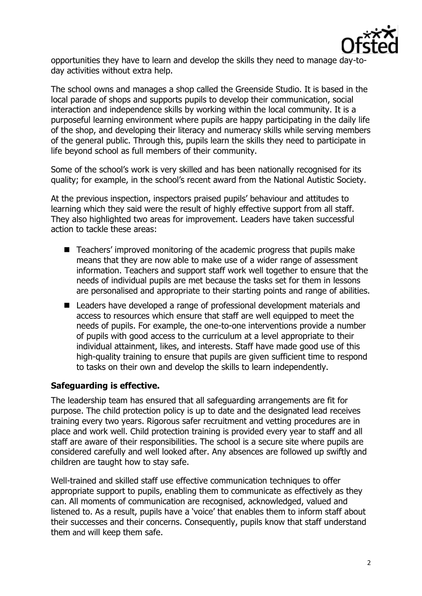

opportunities they have to learn and develop the skills they need to manage day-today activities without extra help.

The school owns and manages a shop called the Greenside Studio. It is based in the local parade of shops and supports pupils to develop their communication, social interaction and independence skills by working within the local community. It is a purposeful learning environment where pupils are happy participating in the daily life of the shop, and developing their literacy and numeracy skills while serving members of the general public. Through this, pupils learn the skills they need to participate in life beyond school as full members of their community.

Some of the school's work is very skilled and has been nationally recognised for its quality; for example, in the school's recent award from the National Autistic Society.

At the previous inspection, inspectors praised pupils' behaviour and attitudes to learning which they said were the result of highly effective support from all staff. They also highlighted two areas for improvement. Leaders have taken successful action to tackle these areas:

- Teachers' improved monitoring of the academic progress that pupils make means that they are now able to make use of a wider range of assessment information. Teachers and support staff work well together to ensure that the needs of individual pupils are met because the tasks set for them in lessons are personalised and appropriate to their starting points and range of abilities.
- Leaders have developed a range of professional development materials and access to resources which ensure that staff are well equipped to meet the needs of pupils. For example, the one-to-one interventions provide a number of pupils with good access to the curriculum at a level appropriate to their individual attainment, likes, and interests. Staff have made good use of this high-quality training to ensure that pupils are given sufficient time to respond to tasks on their own and develop the skills to learn independently.

# **Safeguarding is effective.**

The leadership team has ensured that all safeguarding arrangements are fit for purpose. The child protection policy is up to date and the designated lead receives training every two years. Rigorous safer recruitment and vetting procedures are in place and work well. Child protection training is provided every year to staff and all staff are aware of their responsibilities. The school is a secure site where pupils are considered carefully and well looked after. Any absences are followed up swiftly and children are taught how to stay safe.

Well-trained and skilled staff use effective communication techniques to offer appropriate support to pupils, enabling them to communicate as effectively as they can. All moments of communication are recognised, acknowledged, valued and listened to. As a result, pupils have a 'voice' that enables them to inform staff about their successes and their concerns. Consequently, pupils know that staff understand them and will keep them safe.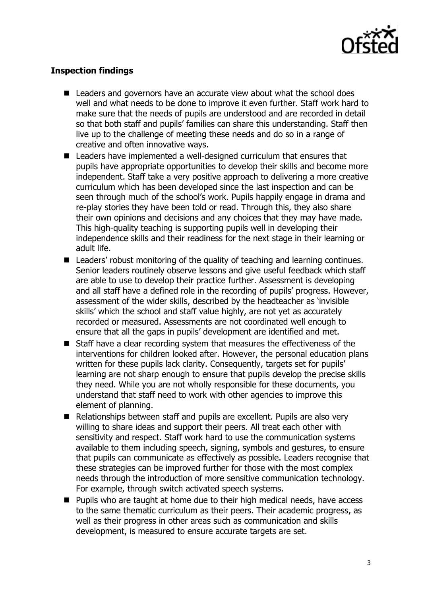

# **Inspection findings**

- Leaders and governors have an accurate view about what the school does well and what needs to be done to improve it even further. Staff work hard to make sure that the needs of pupils are understood and are recorded in detail so that both staff and pupils' families can share this understanding. Staff then live up to the challenge of meeting these needs and do so in a range of creative and often innovative ways.
- Leaders have implemented a well-designed curriculum that ensures that pupils have appropriate opportunities to develop their skills and become more independent. Staff take a very positive approach to delivering a more creative curriculum which has been developed since the last inspection and can be seen through much of the school's work. Pupils happily engage in drama and re-play stories they have been told or read. Through this, they also share their own opinions and decisions and any choices that they may have made. This high-quality teaching is supporting pupils well in developing their independence skills and their readiness for the next stage in their learning or adult life.
- Leaders' robust monitoring of the quality of teaching and learning continues. Senior leaders routinely observe lessons and give useful feedback which staff are able to use to develop their practice further. Assessment is developing and all staff have a defined role in the recording of pupils' progress. However, assessment of the wider skills, described by the headteacher as 'invisible skills' which the school and staff value highly, are not yet as accurately recorded or measured. Assessments are not coordinated well enough to ensure that all the gaps in pupils' development are identified and met.
- Staff have a clear recording system that measures the effectiveness of the interventions for children looked after. However, the personal education plans written for these pupils lack clarity. Consequently, targets set for pupils' learning are not sharp enough to ensure that pupils develop the precise skills they need. While you are not wholly responsible for these documents, you understand that staff need to work with other agencies to improve this element of planning.
- Relationships between staff and pupils are excellent. Pupils are also very willing to share ideas and support their peers. All treat each other with sensitivity and respect. Staff work hard to use the communication systems available to them including speech, signing, symbols and gestures, to ensure that pupils can communicate as effectively as possible. Leaders recognise that these strategies can be improved further for those with the most complex needs through the introduction of more sensitive communication technology. For example, through switch activated speech systems.
- **Pupils who are taught at home due to their high medical needs, have access** to the same thematic curriculum as their peers. Their academic progress, as well as their progress in other areas such as communication and skills development, is measured to ensure accurate targets are set.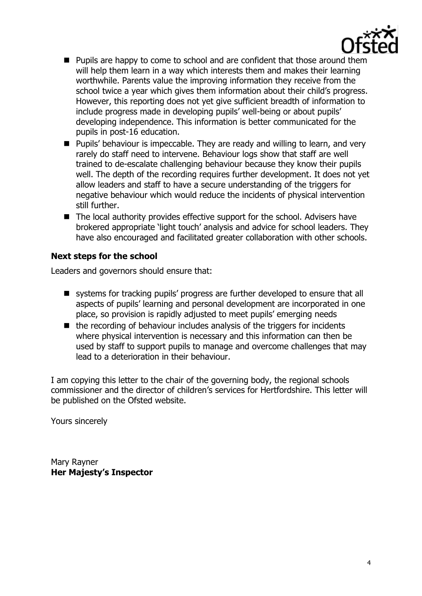

- **Pupils are happy to come to school and are confident that those around them** will help them learn in a way which interests them and makes their learning worthwhile. Parents value the improving information they receive from the school twice a year which gives them information about their child's progress. However, this reporting does not yet give sufficient breadth of information to include progress made in developing pupils' well-being or about pupils' developing independence. This information is better communicated for the pupils in post-16 education.
- Pupils' behaviour is impeccable. They are ready and willing to learn, and very rarely do staff need to intervene. Behaviour logs show that staff are well trained to de-escalate challenging behaviour because they know their pupils well. The depth of the recording requires further development. It does not yet allow leaders and staff to have a secure understanding of the triggers for negative behaviour which would reduce the incidents of physical intervention still further.
- The local authority provides effective support for the school. Advisers have brokered appropriate 'light touch' analysis and advice for school leaders. They have also encouraged and facilitated greater collaboration with other schools.

## **Next steps for the school**

Leaders and governors should ensure that:

- systems for tracking pupils' progress are further developed to ensure that all aspects of pupils' learning and personal development are incorporated in one place, so provision is rapidly adjusted to meet pupils' emerging needs
- $\blacksquare$  the recording of behaviour includes analysis of the triggers for incidents where physical intervention is necessary and this information can then be used by staff to support pupils to manage and overcome challenges that may lead to a deterioration in their behaviour.

I am copying this letter to the chair of the governing body, the regional schools commissioner and the director of children's services for Hertfordshire. This letter will be published on the Ofsted website.

Yours sincerely

Mary Rayner **Her Majesty's Inspector**